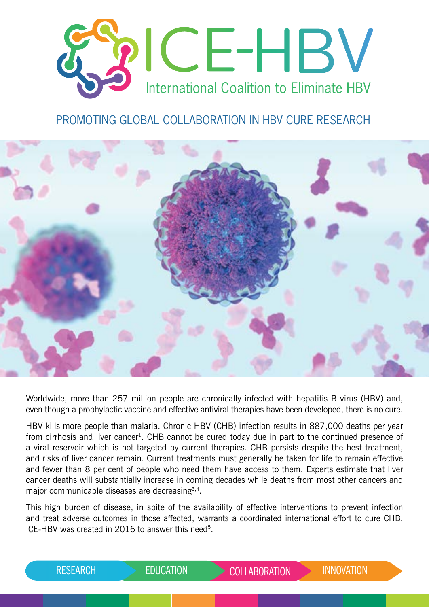

# PROMOTING GLOBAL COLLABORATION IN HBV CURE RESEARCH



Worldwide, more than 257 million people are chronically infected with hepatitis B virus (HBV) and, even though a prophylactic vaccine and effective antiviral therapies have been developed, there is no cure.

HBV kills more people than malaria. Chronic HBV (CHB) infection results in 887,000 deaths per year from cirrhosis and liver cancer<sup>1</sup>. CHB cannot be cured today due in part to the continued presence of a viral reservoir which is not targeted by current therapies. CHB persists despite the best treatment, and risks of liver cancer remain. Current treatments must generally be taken for life to remain effective and fewer than 8 per cent of people who need them have access to them. Experts estimate that liver cancer deaths will substantially increase in coming decades while deaths from most other cancers and major communicable diseases are decreasing3,4.

This high burden of disease, in spite of the availability of effective interventions to prevent infection and treat adverse outcomes in those affected, warrants a coordinated international effort to cure CHB. ICE-HBV was created in 2016 to answer this need<sup>5</sup>.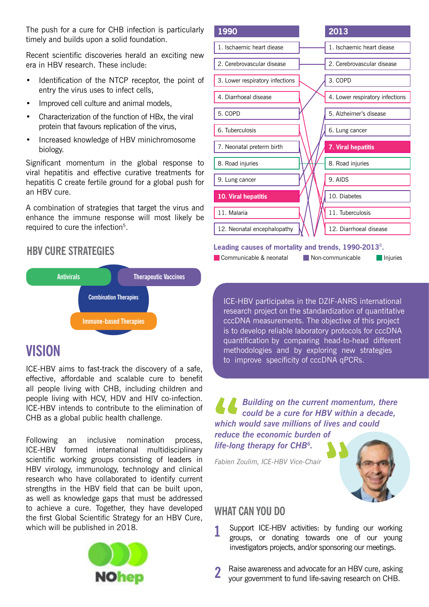The push for a cure for CHB infection is particularly timely and builds upon a solid foundation.

Recent scientific discoveries herald an exciting new era in HBV research. These include:

- Identification of the NTCP receptor, the point of entry the virus uses to infect cells,
- Improved cell culture and animal models,
- Characterization of the function of HBx, the viral protein that favours replication of the virus,
- Increased knowledge of HBV minichromosome biology.

Significant momentum in the global response to viral hepatitis and effective curative treatments for hepatitis C create fertile ground for a global push for an HBV cure.

A combination of strategies that target the virus and enhance the immune response will most likely be required to cure the infection<sup>5</sup>.

# **HBV CURE STRATEGIES**



# **VISION**

ICE-HBV aims to fast-track the discovery of a safe, effective, affordable and scalable cure to benefit all people living with CHB, including children and people living with HCV, HDV and HIV co-infection. ICE-HBV intends to contribute to the elimination of CHB as a global public health challenge.

Following an inclusive nomination process, ICE-HBV formed international multidisciplinary scientific working groups consisting of leaders in HBV virology, immunology, technology and clinical research who have collaborated to identify current strengths in the HBV field that can be built upon, as well as knowledge gaps that must be addressed to achieve a cure. Together, they have developed the first Global Scientific Strategy for an HBV Cure, which will be published in 2018.



| 1990                            | 2013                            |
|---------------------------------|---------------------------------|
| 1. Ischaemic heart diease       | 1. Ischaemic heart diease       |
| 2. Cerebrovascular disease      | 2. Cerebrovascular disease      |
| 3. Lower respiratory infections | 3. COPD                         |
| 4. Diarrhoeal disease           | 4. Lower respiratory infections |
| 5. COPD                         | 5. Alzheimer's disease          |
| 6. Tuberculosis                 | 6. Lung cancer                  |
| 7. Neonatal preterm birth       | 7. Viral hepatitis              |
| 8. Road injuries                | 8. Road injuries                |
| 9. Lung cancer                  | 9. AIDS                         |
| 10. Viral hepatitis             | 10. Diabetes                    |
| 11. Malaria                     | 11. Tuberculosis                |
| 12. Neonatal encephalopathy     | 12. Diarrhoeal disease          |

#### **Leading causes of mortality and trends, 1990-2013**<sup>8</sup>**.**

Communicable & neonatal Injuries

ICE-HBV participates in the DZIF-ANRS international research project on the standardization of quantitative cccDNA measurements. The objective of this project is to develop reliable laboratory protocols for cccDNA quantification by comparing head-to-head different methodologies and by exploring new strategies to improve specificity of cccDNA qPCRs.

*Building on the current momentum, there could be a cure for HBV within a decade, which would save millions of lives and could* 

*reduce the economic burden of life-long therapy for CHB6.*

*Fabien Zoulim, ICE-HBV Vice-Chair*



# **WHAT CAN YOU DO**

- **1** Support ICE-HBV activities: by funding our working groups, or donating towards one of our young investigators projects, and/or sponsoring our meetings.
- Raise awareness and advocate for an HBV cure, asking **2** your government to fund life-saving research on CHB.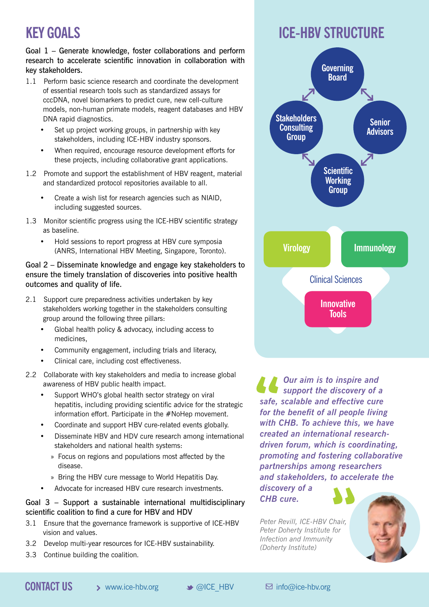# **KEY GOALS**

Goal 1 – Generate knowledge, foster collaborations and perform research to accelerate scientific innovation in collaboration with key stakeholders.

- 1.1 Perform basic science research and coordinate the development of essential research tools such as standardized assays for cccDNA, novel biomarkers to predict cure, new cell-culture models, non-human primate models, reagent databases and HBV DNA rapid diagnostics.
	- Set up project working groups, in partnership with key stakeholders, including ICE-HBV industry sponsors.
	- When required, encourage resource development efforts for these projects, including collaborative grant applications.
- 1.2 Promote and support the establishment of HBV reagent, material and standardized protocol repositories available to all.
	- Create a wish list for research agencies such as NIAID, including suggested sources.
- 1.3 Monitor scientific progress using the ICE-HBV scientific strategy as baseline.
	- Hold sessions to report progress at HBV cure symposia (ANRS, International HBV Meeting, Singapore, Toronto).

## Goal 2 – Disseminate knowledge and engage key stakeholders to ensure the timely translation of discoveries into positive health outcomes and quality of life.

- 2.1 Support cure preparedness activities undertaken by key stakeholders working together in the stakeholders consulting group around the following three pillars:
	- Global health policy & advocacy, including access to medicines,
	- Community engagement, including trials and literacy,
	- Clinical care, including cost effectiveness.
- 2.2 Collaborate with key stakeholders and media to increase global awareness of HBV public health impact.
	- Support WHO's global health sector strategy on viral hepatitis, including providing scientific advice for the strategic information effort. Participate in the #NoHep movement.
	- Coordinate and support HBV cure-related events globally.
	- Disseminate HBV and HDV cure research among international stakeholders and national health systems:
		- » Focus on regions and populations most affected by the disease.
		- » Bring the HBV cure message to World Hepatitis Day.
	- Advocate for increased HBV cure research investments.

## Goal 3 – Support a sustainable international multidisciplinary scientific coalition to find a cure for HBV and HDV

- 3.1 Ensure that the governance framework is supportive of ICE-HBV vision and values.
- 3.2 Develop multi-year resources for ICE-HBV sustainability.
- 3.3 Continue building the coalition.





*Our aim is to inspire and support the discovery of a safe, scalable and effective cure for the benefit of all people living with CHB. To achieve this, we have created an international researchdriven forum, which is coordinating, promoting and fostering collaborative partnerships among researchers and stakeholders, to accelerate the* 

*discovery of a CHB cure.* 

*Peter Revill, ICE-HBV Chair, Peter Doherty Institute for Infection and Immunity (Doherty Institute)*